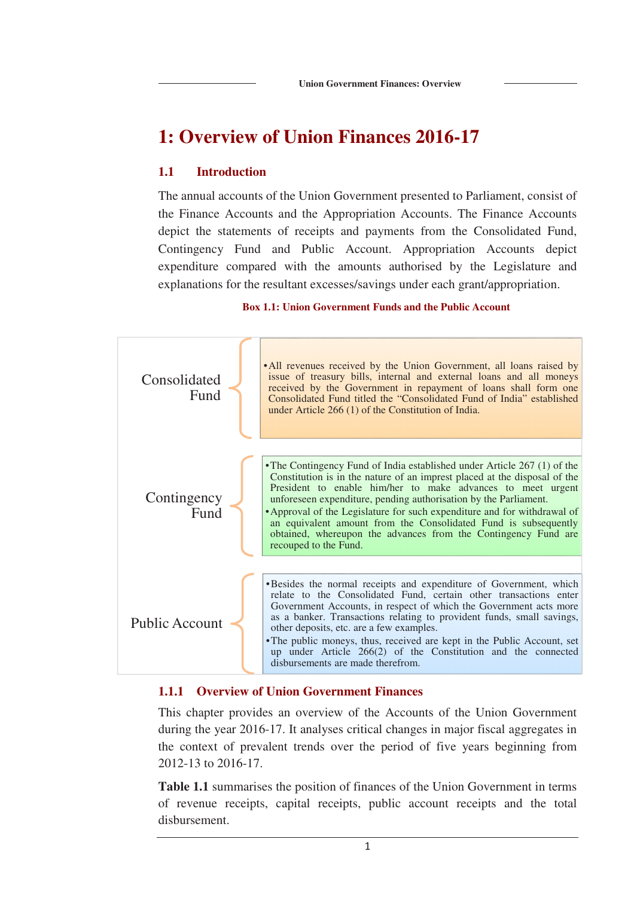# **1: Overview of Union Finances 2016-17**

# **1.1 Introduction**

The annual accounts of the Union Government presented to Parliament, consist of the Finance Accounts and the Appropriation Accounts. The Finance Accounts depict the statements of receipts and payments from the Consolidated Fund, Contingency Fund and Public Account. Appropriation Accounts depict expenditure compared with the amounts authorised by the Legislature and explanations for the resultant excesses/savings under each grant/appropriation.

### **Box 1.1: Union Government Funds and the Public Account**



### **1.1.1 Overview of Union Government Finances**

This chapter provides an overview of the Accounts of the Union Government during the year 2016-17. It analyses critical changes in major fiscal aggregates in the context of prevalent trends over the period of five years beginning from 2012-13 to 2016-17.

**Table 1.1** summarises the position of finances of the Union Government in terms of revenue receipts, capital receipts, public account receipts and the total disbursement.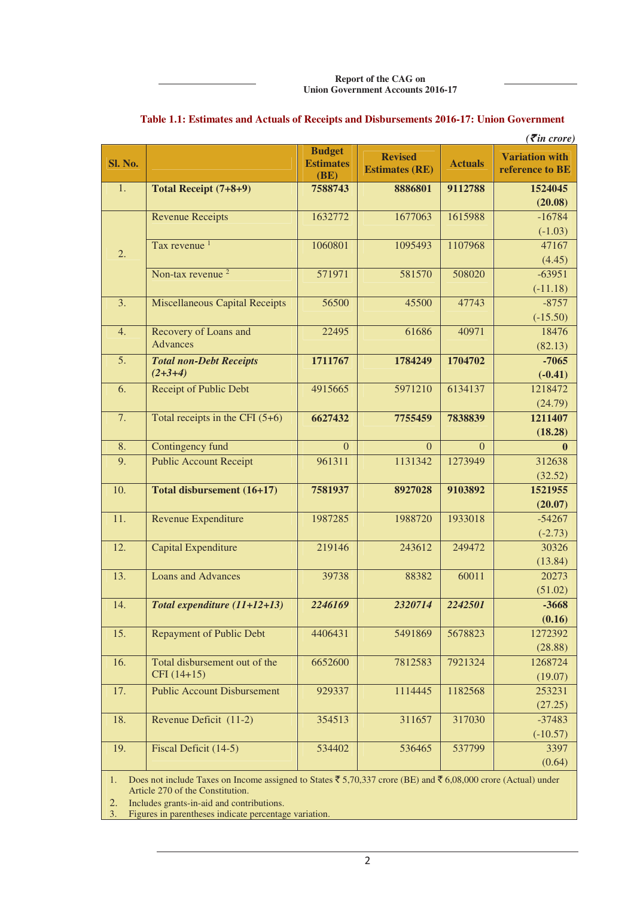**Report of the CAG on Union Government Accounts 2016-17**

|                   |                                               |                                           |                                         |                | $( \bar{\mathbf{z}}$ in crore)           |
|-------------------|-----------------------------------------------|-------------------------------------------|-----------------------------------------|----------------|------------------------------------------|
| <b>Sl. No.</b>    |                                               | <b>Budget</b><br><b>Estimates</b><br>(BE) | <b>Revised</b><br><b>Estimates (RE)</b> | <b>Actuals</b> | <b>Variation with</b><br>reference to BE |
| 1.                | Total Receipt (7+8+9)                         | 7588743                                   | 8886801                                 | 9112788        | 1524045<br>(20.08)                       |
|                   | <b>Revenue Receipts</b>                       | 1632772                                   | 1677063                                 | 1615988        | $-16784$<br>$(-1.03)$                    |
| 2.                | Tax revenue <sup>1</sup>                      | 1060801                                   | 1095493                                 | 1107968        | 47167<br>(4.45)                          |
|                   | Non-tax revenue <sup>2</sup>                  | 571971                                    | 581570                                  | 508020         | $-63951$<br>$(-11.18)$                   |
| 3.                | <b>Miscellaneous Capital Receipts</b>         | 56500                                     | 45500                                   | 47743          | $-8757$<br>$(-15.50)$                    |
| 4.                | Recovery of Loans and<br>Advances             | 22495                                     | 61686                                   | 40971          | 18476<br>(82.13)                         |
| 5.                | <b>Total non-Debt Receipts</b><br>$(2+3+4)$   | 1711767                                   | 1784249                                 | 1704702        | $-7065$<br>$(-0.41)$                     |
| 6.                | Receipt of Public Debt                        | 4915665                                   | 5971210                                 | 6134137        | 1218472<br>(24.79)                       |
| 7.                | Total receipts in the CFI $(5+6)$             | 6627432                                   | 7755459                                 | 7838839        | 1211407<br>(18.28)                       |
| 8.                | Contingency fund                              | $\overline{0}$                            | $\Omega$                                | $\Omega$       | $\mathbf{0}$                             |
| $\overline{9}$ .  | <b>Public Account Receipt</b>                 | 961311                                    | 1131342                                 | 1273949        | 312638<br>(32.52)                        |
| 10.               | Total disbursement (16+17)                    | 7581937                                   | 8927028                                 | 9103892        | 1521955<br>(20.07)                       |
| 11.               | Revenue Expenditure                           | 1987285                                   | 1988720                                 | 1933018        | $-54267$<br>$(-2.73)$                    |
| 12.               | <b>Capital Expenditure</b>                    | 219146                                    | 243612                                  | 249472         | 30326<br>(13.84)                         |
| $\overline{13}$ . | <b>Loans and Advances</b>                     | 39738                                     | 88382                                   | 60011          | 20273<br>(51.02)                         |
| 14.               | Total expenditure (11+12+13)                  | 2246169                                   | 2320714                                 | 2242501        | $-3668$<br>(0.16)                        |
| 15.               | <b>Repayment of Public Debt</b>               | 4406431                                   | 5491869                                 | 5678823        | 1272392<br>(28.88)                       |
| 16.               | Total disbursement out of the<br>$CFI(14+15)$ | 6652600                                   | 7812583                                 | 7921324        | 1268724<br>(19.07)                       |
| 17.               | <b>Public Account Disbursement</b>            | 929337                                    | 1114445                                 | 1182568        | 253231<br>(27.25)                        |
| 18.               | Revenue Deficit (11-2)                        | 354513                                    | 311657                                  | 317030         | $-37483$<br>$(-10.57)$                   |
| 19.               | Fiscal Deficit (14-5)                         | 534402                                    | 536465                                  | 537799         | 3397<br>(0.64)                           |

### **Table 1.1: Estimates and Actuals of Receipts and Disbursements 2016-17: Union Government**

1. Does not include Taxes on Income assigned to States  $\bar{5}$ , 5, 70, 337 crore (BE) and  $\bar{5}$  6, 08, 000 crore (Actual) under Article 270 of the Constitution.

2. Includes grants-in-aid and contributions.<br>3. Figures in parentheses indicate percentage

Figures in parentheses indicate percentage variation.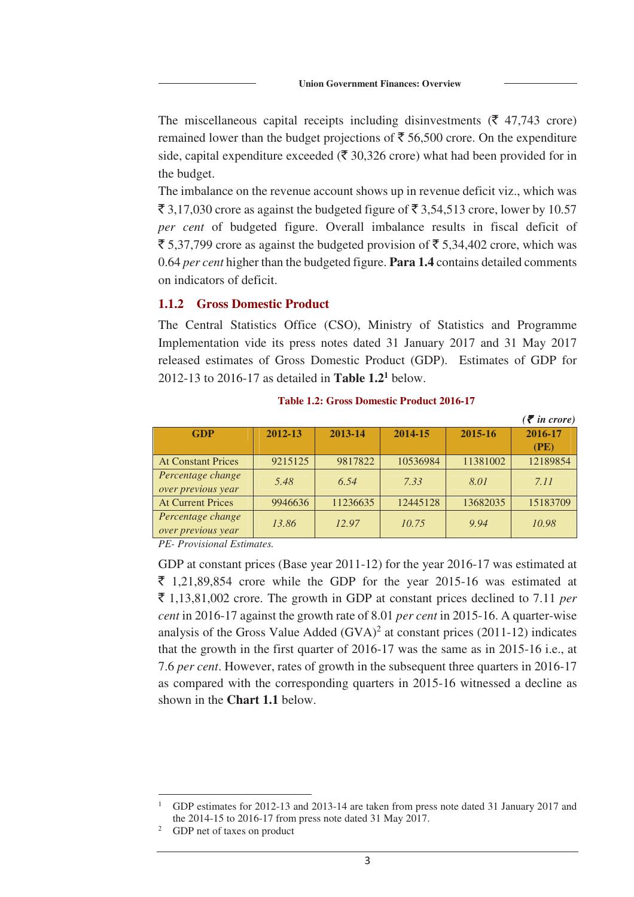The miscellaneous capital receipts including disinvestments ( $\bar{\tau}$  47,743 crore) remained lower than the budget projections of  $\bar{\bar{\tau}}$  56,500 crore. On the expenditure side, capital expenditure exceeded ( $\bar{\mathfrak{F}}$  30,326 crore) what had been provided for in the budget.

The imbalance on the revenue account shows up in revenue deficit viz., which was  $\bar{\xi}$  3,17,030 crore as against the budgeted figure of  $\bar{\xi}$  3,54,513 crore, lower by 10.57 *per cent* of budgeted figure. Overall imbalance results in fiscal deficit of  $\bar{\xi}$  5,37,799 crore as against the budgeted provision of  $\bar{\xi}$  5,34,402 crore, which was 0.64 *per cent* higher than the budgeted figure. **Para 1.4** contains detailed comments on indicators of deficit.

### **1.1.2 Gross Domestic Product**

The Central Statistics Office (CSO), Ministry of Statistics and Programme Implementation vide its press notes dated 31 January 2017 and 31 May 2017 released estimates of Gross Domestic Product (GDP). Estimates of GDP for 2012-13 to 2016-17 as detailed in **Table 1.2<sup>1</sup>** below.

|                           |         |          |          |          | $(\bar{\bar{\mathbf{z}}}$ in crore) |
|---------------------------|---------|----------|----------|----------|-------------------------------------|
| <b>GDP</b>                | 2012-13 | 2013-14  | 2014-15  | 2015-16  | 2016-17                             |
|                           |         |          |          |          | (PE)                                |
| <b>At Constant Prices</b> | 9215125 | 9817822  | 10536984 | 11381002 | 12189854                            |
| Percentage change         | 5.48    | 6.54     | 7.33     | 8.01     | 7.11                                |
| over previous year        |         |          |          |          |                                     |
| <b>At Current Prices</b>  | 9946636 | 11236635 | 12445128 | 13682035 | 15183709                            |
| Percentage change         | 13.86   | 12.97    | 10.75    | 9.94     | 10.98                               |
| over previous year        |         |          |          |          |                                     |

**Table 1.2: Gross Domestic Product 2016-17** 

*PE- Provisional Estimates.* 

GDP at constant prices (Base year 2011-12) for the year 2016-17 was estimated at  $\bar{\tau}$  1,21,89,854 crore while the GDP for the year 2015-16 was estimated at  $\bar{\xi}$  1,13,81,002 crore. The growth in GDP at constant prices declined to 7.11 *per cent* in 2016-17 against the growth rate of 8.01 *per cent* in 2015-16. A quarter-wise analysis of the Gross Value Added  $(GVA)^2$  at constant prices (2011-12) indicates that the growth in the first quarter of 2016-17 was the same as in 2015-16 i.e., at 7.6 *per cent*. However, rates of growth in the subsequent three quarters in 2016-17 as compared with the corresponding quarters in 2015-16 witnessed a decline as shown in the **Chart 1.1** below.

 $\overline{a}$ 

<sup>1</sup> GDP estimates for 2012-13 and 2013-14 are taken from press note dated 31 January 2017 and the 2014-15 to 2016-17 from press note dated 31 May 2017.

<sup>2</sup> GDP net of taxes on product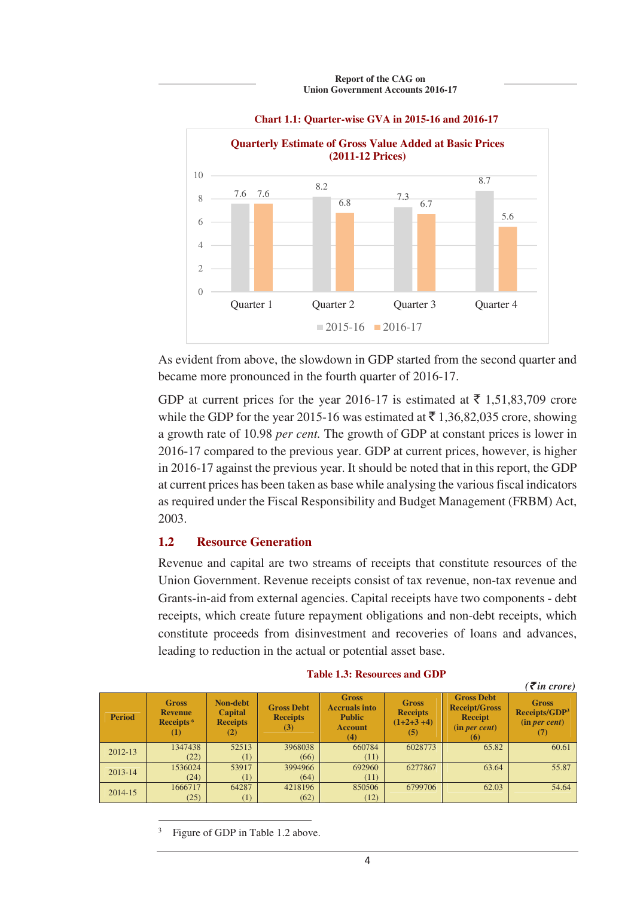



As evident from above, the slowdown in GDP started from the second quarter and became more pronounced in the fourth quarter of 2016-17.

GDP at current prices for the year 2016-17 is estimated at  $\bar{\tau}$  1,51,83,709 crore while the GDP for the year 2015-16 was estimated at  $\bar{\tau}$  1,36,82,035 crore, showing a growth rate of 10.98 *per cent.* The growth of GDP at constant prices is lower in 2016-17 compared to the previous year. GDP at current prices, however, is higher in 2016-17 against the previous year. It should be noted that in this report, the GDP at current prices has been taken as base while analysing the various fiscal indicators as required under the Fiscal Responsibility and Budget Management (FRBM) Act, 2003.

# **1.2 Resource Generation**

Revenue and capital are two streams of receipts that constitute resources of the Union Government. Revenue receipts consist of tax revenue, non-tax revenue and Grants-in-aid from external agencies. Capital receipts have two components - debt receipts, which create future repayment obligations and non-debt receipts, which constitute proceeds from disinvestment and recoveries of loans and advances, leading to reduction in the actual or potential asset base.

| <b>Period</b> | <b>Gross</b><br><b>Revenue</b><br>Receipts*<br>$\rm _{(1)}$ | <b>Non-debt</b><br><b>Capital</b><br><b>Receipts</b><br>(2) | <b>Gross Debt</b><br><b>Receipts</b><br>(3) | <b>Gross</b><br><b>Accruals into</b><br><b>Public</b><br><b>Account</b><br>(4) | <b>Gross</b><br><b>Receipts</b><br>$(1+2+3+4)$<br>(5) | <b>Gross Debt</b><br><b>Receipt/Gross</b><br><b>Receipt</b><br>(in per cent)<br>(6) | <b>Gross</b><br>Receipts/GDP <sup>3</sup><br>(in per cent) |
|---------------|-------------------------------------------------------------|-------------------------------------------------------------|---------------------------------------------|--------------------------------------------------------------------------------|-------------------------------------------------------|-------------------------------------------------------------------------------------|------------------------------------------------------------|
| 2012-13       | 1347438                                                     | 52513                                                       | 3968038                                     | 660784                                                                         | 6028773                                               | 65.82                                                                               | 60.61                                                      |
|               | (22)                                                        | (1)                                                         | (66)                                        | (11)                                                                           |                                                       |                                                                                     |                                                            |
| $2013 - 14$   | 1536024                                                     | 53917                                                       | 3994966                                     | 692960                                                                         | 6277867                                               | 63.64                                                                               | 55.87                                                      |
|               | (24)                                                        | (1)                                                         | (64)                                        | (11)                                                                           |                                                       |                                                                                     |                                                            |
| 2014-15       | 1666717                                                     | 64287                                                       | 4218196                                     | 850506                                                                         | 6799706                                               | 62.03                                                                               | 54.64                                                      |
|               | (25)                                                        | (1)                                                         | (62)                                        | (12)                                                                           |                                                       |                                                                                     |                                                            |

#### **Table 1.3: Resources and GDP**

 $(\vec{\xi})$  *in crore*)

3 Figure of GDP in Table 1.2 above.

 $\overline{a}$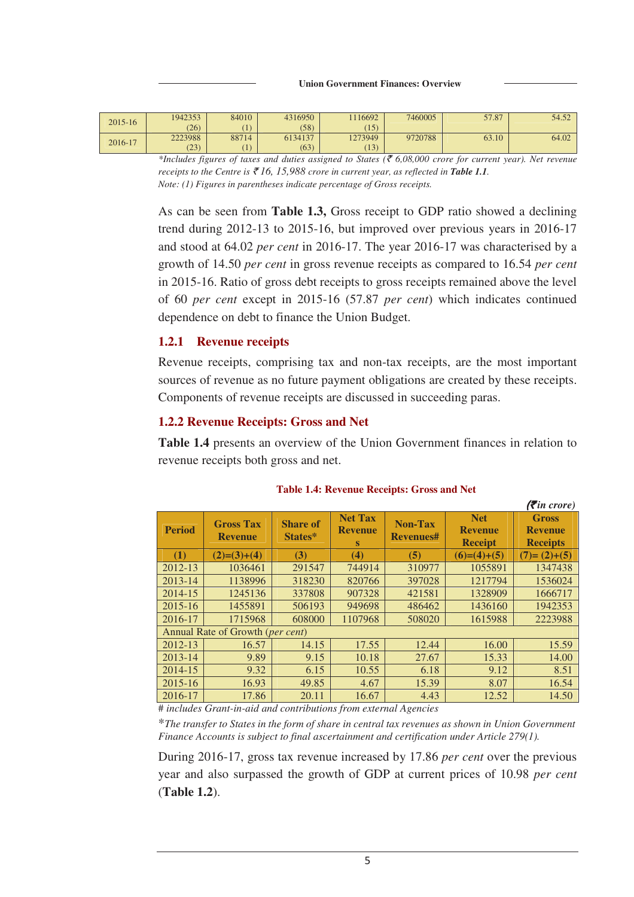| 2015-16 | 1942353 | 84010 | 4316950 | 1116692 | 7460005 | 57.87 | 54.52 |
|---------|---------|-------|---------|---------|---------|-------|-------|
|         | (26)    |       | (58)    | (15)    |         |       |       |
| 2016-17 | 2223988 | 88714 | 6134137 | 1273949 | 9720788 | 63.10 | 64.02 |
|         | (23)    |       | (63)    | (13)    |         |       |       |

 $*$ Includes figures of taxes and duties assigned to States ( $\bar{\epsilon}$  6,08,000 crore for current year). Net revenue *receipts to the Centre is*  $\bar{\xi}$  16, 15,988 *crore in current year, as reflected in Table 1.1. Note: (1) Figures in parentheses indicate percentage of Gross receipts.* 

As can be seen from **Table 1.3,** Gross receipt to GDP ratio showed a declining trend during 2012-13 to 2015-16, but improved over previous years in 2016-17 and stood at 64.02 *per cent* in 2016-17. The year 2016-17 was characterised by a growth of 14.50 *per cent* in gross revenue receipts as compared to 16.54 *per cent* in 2015-16. Ratio of gross debt receipts to gross receipts remained above the level of 60 *per cent* except in 2015-16 (57.87 *per cent*) which indicates continued dependence on debt to finance the Union Budget.

# **1.2.1 Revenue receipts**

Revenue receipts, comprising tax and non-tax receipts, are the most important sources of revenue as no future payment obligations are created by these receipts. Components of revenue receipts are discussed in succeeding paras.

# **1.2.2 Revenue Receipts: Gross and Net**

**Table 1.4** presents an overview of the Union Government finances in relation to revenue receipts both gross and net.

|               |                                           |                            |                                              |                             |                                                | $( \bar{\mathbf{\xi}}$ in crore)                  |
|---------------|-------------------------------------------|----------------------------|----------------------------------------------|-----------------------------|------------------------------------------------|---------------------------------------------------|
| <b>Period</b> | <b>Gross Tax</b><br><b>Revenue</b>        | <b>Share of</b><br>States* | <b>Net Tax</b><br><b>Revenue</b><br><b>S</b> | Non-Tax<br><b>Revenues#</b> | <b>Net</b><br><b>Revenue</b><br><b>Receipt</b> | <b>Gross</b><br><b>Revenue</b><br><b>Receipts</b> |
| (1)           | $(2)= (3)+(4)$                            | (3)                        | $\bf(4)$                                     | (5)                         | $(6)=(4)+(5)$                                  | $(7)=(2)+(5)$                                     |
| 2012-13       | 1036461                                   | 291547                     | 744914                                       | 310977                      | 1055891                                        | 1347438                                           |
| 2013-14       | 1138996                                   | 318230                     | 820766                                       | 397028                      | 1217794                                        | 1536024                                           |
| 2014-15       | 1245136                                   | 337808                     | 907328                                       | 421581                      | 1328909                                        | 1666717                                           |
| 2015-16       | 1455891                                   | 506193                     | 949698                                       | 486462                      | 1436160                                        | 1942353                                           |
| 2016-17       | 1715968                                   | 608000                     | 1107968                                      | 508020                      | 1615988                                        | 2223988                                           |
|               | Annual Rate of Growth ( <i>per cent</i> ) |                            |                                              |                             |                                                |                                                   |
| 2012-13       | 16.57                                     | 14.15                      | 17.55                                        | 12.44                       | 16.00                                          | 15.59                                             |
| $2013 - 14$   | 9.89                                      | 9.15                       | 10.18                                        | 27.67                       | 15.33                                          | 14.00                                             |
| 2014-15       | 9.32                                      | 6.15                       | 10.55                                        | 6.18                        | 9.12                                           | 8.51                                              |
| 2015-16       | 16.93                                     | 49.85                      | 4.67                                         | 15.39                       | 8.07                                           | 16.54                                             |
| 2016-17       | 17.86                                     | 20.11                      | 16.67                                        | 4.43                        | 12.52                                          | 14.50                                             |

**Table 1.4: Revenue Receipts: Gross and Net** 

# *includes Grant-in-aid and contributions from external Agencies* 

\**The transfer to States in the form of share in central tax revenues as shown in Union Government Finance Accounts is subject to final ascertainment and certification under Article 279(1).*

During 2016-17, gross tax revenue increased by 17.86 *per cent* over the previous year and also surpassed the growth of GDP at current prices of 10.98 *per cent* (**Table 1.2**).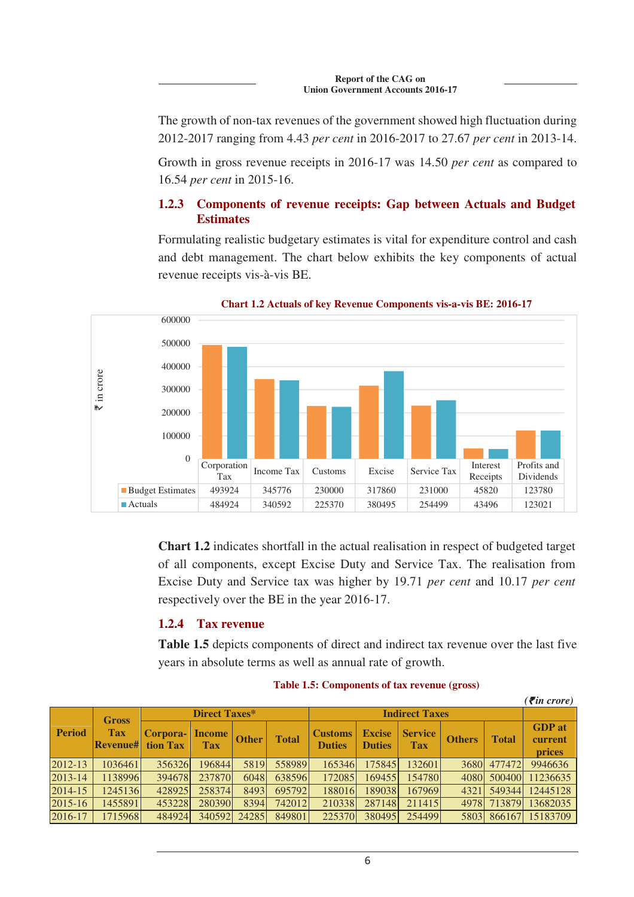The growth of non-tax revenues of the government showed high fluctuation during 2012-2017 ranging from 4.43 *per cent* in 2016-2017 to 27.67 *per cent* in 2013-14.

Growth in gross revenue receipts in 2016-17 was 14.50 *per cent* as compared to 16.54 *per cent* in 2015-16.

# **1.2.3 Components of revenue receipts: Gap between Actuals and Budget Estimates**

Formulating realistic budgetary estimates is vital for expenditure control and cash and debt management. The chart below exhibits the key components of actual revenue receipts vis-à-vis BE.



**Chart 1.2 Actuals of key Revenue Components vis-a-vis BE: 2016-17**

**Chart 1.2** indicates shortfall in the actual realisation in respect of budgeted target of all components, except Excise Duty and Service Tax. The realisation from Excise Duty and Service tax was higher by 19.71 *per cent* and 10.17 *per cent* respectively over the BE in the year 2016-17.

# **1.2.4 Tax revenue**

**Table 1.5** depicts components of direct and indirect tax revenue over the last five years in absolute terms as well as annual rate of growth.

|               |                               |                      |                             |              |              |                                 |                                |                              |               |              | $( \bar{\mathbf{z}}$ in crore)            |
|---------------|-------------------------------|----------------------|-----------------------------|--------------|--------------|---------------------------------|--------------------------------|------------------------------|---------------|--------------|-------------------------------------------|
|               | <b>Gross</b>                  | <b>Direct Taxes*</b> |                             |              |              | <b>Indirect Taxes</b>           |                                |                              |               |              |                                           |
| <b>Period</b> | <b>Tax</b><br><b>Revenue#</b> | Corpora-<br>tion Tax | <b>Income</b><br><b>Tax</b> | <b>Other</b> | <b>Total</b> | <b>Customs</b><br><b>Duties</b> | <b>Excise</b><br><b>Duties</b> | <b>Service</b><br><b>Tax</b> | <b>Others</b> | <b>Total</b> | <b>GDP</b> at<br>current<br><i>prices</i> |
| 2012-13       | 1036461                       | 356326               | 196844                      | 5819         | 558989       | 165346                          | 175845                         | 132601                       | 3680          | 477472       | 9946636                                   |
| 2013-14       | 1138996                       | 394678               | 237870                      | 6048         | 638596       | 172085                          | 169455                         | 154780                       | 4080          | 500400       | 11236635                                  |
| $2014 - 15$   | 1245136                       | 428925               | 258374                      | 8493         | 695792       | 188016                          | 189038                         | 167969                       | 4321          | 549344       | 12445128                                  |
| 2015-16       | 1455891                       | 453228               | 280390                      | 8394         | 742012       | 210338                          | 287148                         | 211415                       | 4978          | 713879       | 13682035                                  |
| 2016-17       | 1715968                       | 484924               | 340592                      | 24285        | 849801       | 225370                          | 380495                         | 254499                       | 5803          |              | 866167 15183709                           |

**Table 1.5: Components of tax revenue (gross)**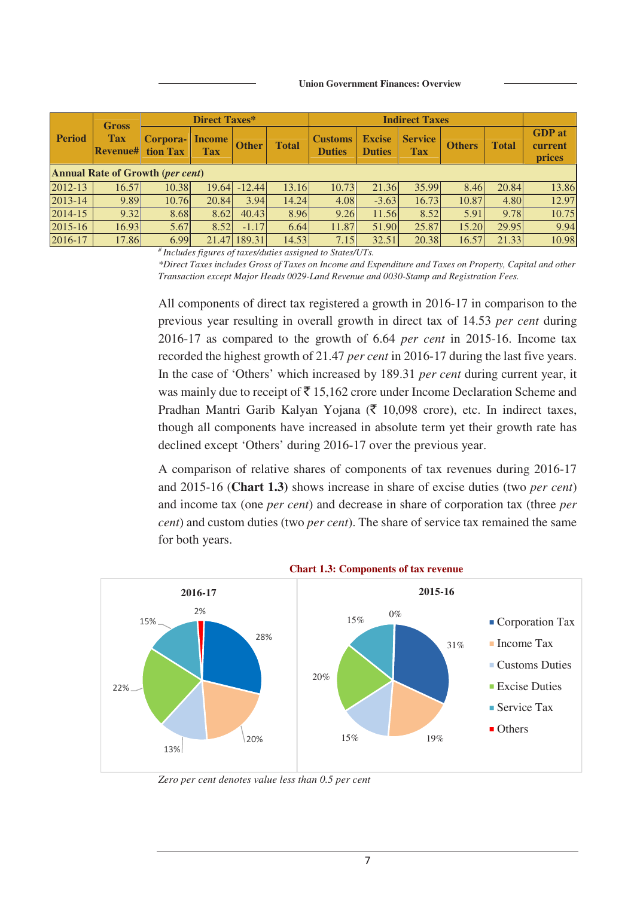|                                         | <b>Gross</b>                  |                      | Direct Taxes*               |              |              |                                 |                                | <b>Indirect Taxes</b>        |               |              |                                           |
|-----------------------------------------|-------------------------------|----------------------|-----------------------------|--------------|--------------|---------------------------------|--------------------------------|------------------------------|---------------|--------------|-------------------------------------------|
| <b>Period</b>                           | <b>Tax</b><br><b>Revenue#</b> | Corpora-<br>tion Tax | <b>Income</b><br><b>Tax</b> | <b>Other</b> | <b>Total</b> | <b>Customs</b><br><b>Duties</b> | <b>Excise</b><br><b>Duties</b> | <b>Service</b><br><b>Tax</b> | <b>Others</b> | <b>Total</b> | <b>GDP</b> at<br>current<br><b>prices</b> |
| <b>Annual Rate of Growth (per cent)</b> |                               |                      |                             |              |              |                                 |                                |                              |               |              |                                           |
| $2012 - 13$                             | 16.57                         | 10.38                | 19.64                       | $-12.44$     | 13.16        | 10.73                           | 21.36                          | 35.99                        | 8.46          | 20.84        | 13.86                                     |
| $2013 - 14$                             | 9.89                          | 10.76                | 20.84                       | 3.94         | 14.24        | 4.08                            | $-3.63$                        | 16.73                        | 10.87         | 4.80         | 12.97                                     |
| 2014-15                                 | 9.32                          | 8.68                 | 8.62                        | 40.43        | 8.96         | 9.26                            | 11.56                          | 8.52                         | 5.91          | 9.78         | 10.75                                     |
| $2015 - 16$                             | 16.93                         | 5.67                 | 8.52                        | $-1.17$      | 6.64         | 11.87                           | 51.90                          | 25.87                        | 15.20         | 29.95        | 9.94                                      |
| 2016-17                                 | 17.86                         | 6.99                 | 21.47                       | 189.31       | 14.53        | 7.15                            | 32.51                          | 20.38                        | 16.57         | 21.33        | 10.98                                     |

*# Includes figures of taxes/duties assigned to States/UTs.* 

*\*Direct Taxes includes Gross of Taxes on Income and Expenditure and Taxes on Property, Capital and other Transaction except Major Heads 0029-Land Revenue and 0030-Stamp and Registration Fees.* 

All components of direct tax registered a growth in 2016-17 in comparison to the previous year resulting in overall growth in direct tax of 14.53 *per cent* during 2016-17 as compared to the growth of 6.64 *per cent* in 2015-16. Income tax recorded the highest growth of 21.47 *per cent* in 2016-17 during the last five years. In the case of 'Others' which increased by 189.31 *per cent* during current year, it was mainly due to receipt of  $\bar{\tau}$  15,162 crore under Income Declaration Scheme and Pradhan Mantri Garib Kalyan Yojana ( $\bar{\tau}$  10,098 crore), etc. In indirect taxes, though all components have increased in absolute term yet their growth rate has declined except 'Others' during 2016-17 over the previous year.

A comparison of relative shares of components of tax revenues during 2016-17 and 2015-16 (**Chart 1.3)** shows increase in share of excise duties (two *per cent*) and income tax (one *per cent*) and decrease in share of corporation tax (three *per cent*) and custom duties (two *per cent*). The share of service tax remained the same for both years.



**Chart 1.3: Components of tax revenue** 

*Zero per cent denotes value less than 0.5 per cent*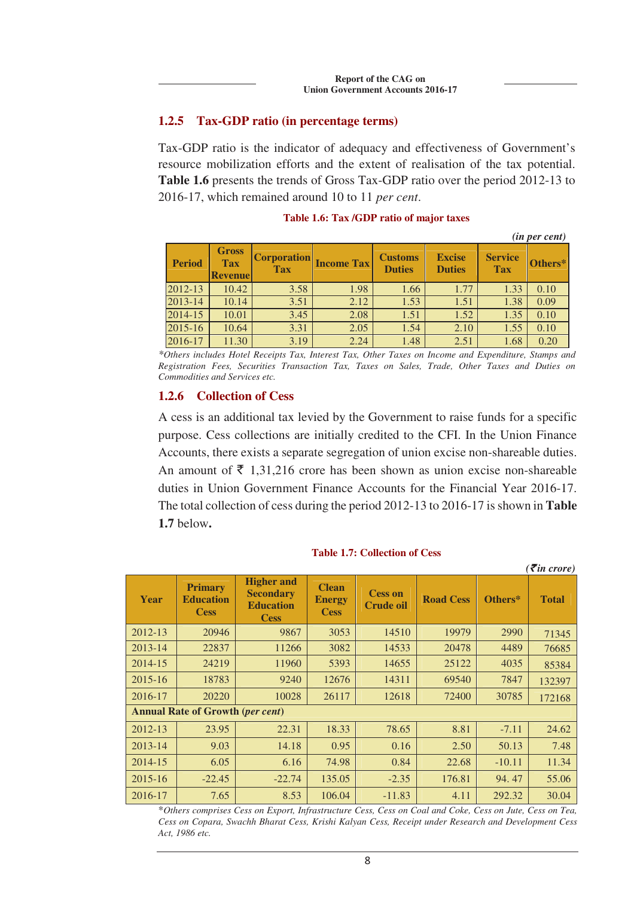## **1.2.5 Tax-GDP ratio (in percentage terms)**

Tax-GDP ratio is the indicator of adequacy and effectiveness of Government's resource mobilization efforts and the extent of realisation of the tax potential. **Table 1.6** presents the trends of Gross Tax-GDP ratio over the period 2012-13 to 2016-17, which remained around 10 to 11 *per cent*.

|               |                                              |                                  |                   |                                 |                                |                              | ( <i>in per cent</i> ) |
|---------------|----------------------------------------------|----------------------------------|-------------------|---------------------------------|--------------------------------|------------------------------|------------------------|
| <b>Period</b> | <b>Gross</b><br><b>Tax</b><br><b>Revenue</b> | <b>Corporation</b><br><b>Tax</b> | <b>Income Tax</b> | <b>Customs</b><br><b>Duties</b> | <b>Excise</b><br><b>Duties</b> | <b>Service</b><br><b>Tax</b> | Others*                |
| 2012-13       | 10.42                                        | 3.58                             | 1.98              | 1.66                            | 1.77                           | 1.33                         | 0.10                   |
| 2013-14       | 10.14                                        | 3.51                             | 2.12              | 1.53                            | 1.51                           | 1.38                         | 0.09                   |
| 2014-15       | 10.01                                        | 3.45                             | 2.08              | 1.51                            | 1.52                           | 1.35                         | 0.10                   |
| 2015-16       | 10.64                                        | 3.31                             | 2.05              | 1.54                            | 2.10                           | 1.55                         | 0.10                   |
| 2016-17       | 11.30                                        | 3.19                             | 2.24              | 1.48                            | 2.51                           | 1.68                         | 0.20                   |

### **Table 1.6: Tax /GDP ratio of major taxes**

*\*Others includes Hotel Receipts Tax, Interest Tax, Other Taxes on Income and Expenditure, Stamps and Registration Fees, Securities Transaction Tax, Taxes on Sales, Trade, Other Taxes and Duties on Commodities and Services etc.* 

### **1.2.6 Collection of Cess**

A cess is an additional tax levied by the Government to raise funds for a specific purpose. Cess collections are initially credited to the CFI. In the Union Finance Accounts, there exists a separate segregation of union excise non-shareable duties. An amount of  $\bar{\tau}$  1,31,216 crore has been shown as union excise non-shareable duties in Union Government Finance Accounts for the Financial Year 2016-17. The total collection of cess during the period 2012-13 to 2016-17 is shown in **Table 1.7** below**.**

|             |                                                   |                                                                          |                                              |                                    |                  |          | $\overline{\mathcal{F}}$ in crore) |
|-------------|---------------------------------------------------|--------------------------------------------------------------------------|----------------------------------------------|------------------------------------|------------------|----------|------------------------------------|
| Year        | <b>Primary</b><br><b>Education</b><br><b>Cess</b> | <b>Higher and</b><br><b>Secondary</b><br><b>Education</b><br><b>Cess</b> | <b>Clean</b><br><b>Energy</b><br><b>Cess</b> | <b>Cess on</b><br><b>Crude oil</b> | <b>Road Cess</b> | Others*  | <b>Total</b>                       |
| 2012-13     | 20946                                             | 9867                                                                     | 3053                                         | 14510                              | 19979            | 2990     | 71345                              |
| 2013-14     | 22837                                             | 11266                                                                    | 3082                                         | 14533                              | 20478            | 4489     | 76685                              |
| 2014-15     | 24219                                             | 11960                                                                    | 5393                                         | 14655                              | 25122            | 4035     | 85384                              |
| 2015-16     | 18783                                             | 9240                                                                     | 12676                                        | 14311                              | 69540            | 7847     | 132397                             |
| 2016-17     | 20220                                             | 10028                                                                    | 26117                                        | 12618                              | 72400            | 30785    | 172168                             |
|             | <b>Annual Rate of Growth (per cent)</b>           |                                                                          |                                              |                                    |                  |          |                                    |
| 2012-13     | 23.95                                             | 22.31                                                                    | 18.33                                        | 78.65                              | 8.81             | $-7.11$  | 24.62                              |
| 2013-14     | 9.03                                              | 14.18                                                                    | 0.95                                         | 0.16                               | 2.50             | 50.13    | 7.48                               |
| 2014-15     | 6.05                                              | 6.16                                                                     | 74.98                                        | 0.84                               | 22.68            | $-10.11$ | 11.34                              |
| $2015 - 16$ | $-22.45$                                          | $-22.74$                                                                 | 135.05                                       | $-2.35$                            | 176.81           | 94.47    | 55.06                              |
| 2016-17     | 7.65                                              | 8.53                                                                     | 106.04                                       | $-11.83$                           | 4.11             | 292.32   | 30.04                              |

#### **Table 1.7: Collection of Cess**

\**Others comprises Cess on Export, Infrastructure Cess, Cess on Coal and Coke, Cess on Jute, Cess on Tea, Cess on Copara, Swachh Bharat Cess, Krishi Kalyan Cess, Receipt under Research and Development Cess Act, 1986 etc.*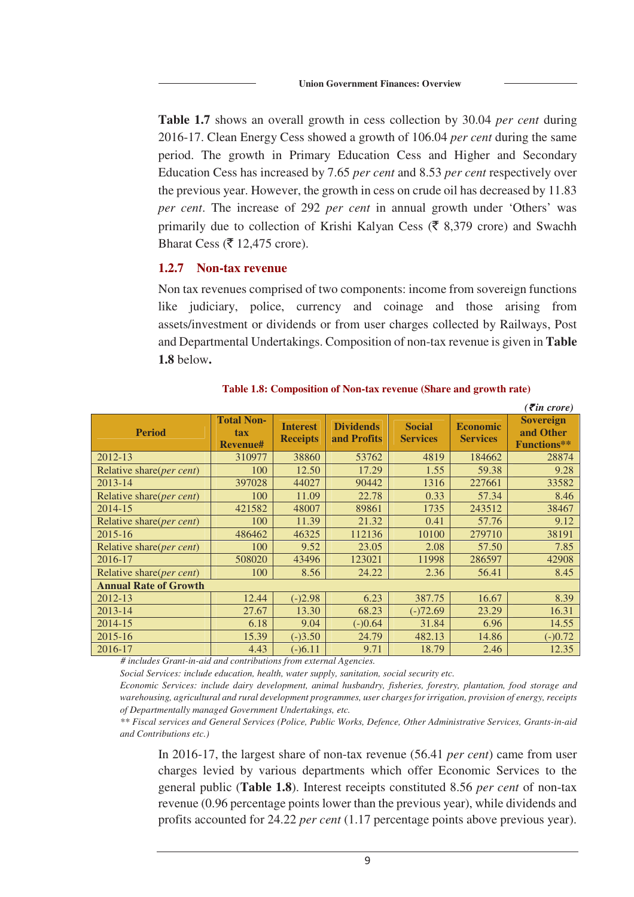**Table 1.7** shows an overall growth in cess collection by 30.04 *per cent* during 2016-17. Clean Energy Cess showed a growth of 106.04 *per cent* during the same period. The growth in Primary Education Cess and Higher and Secondary Education Cess has increased by 7.65 *per cent* and 8.53 *per cent* respectively over the previous year. However, the growth in cess on crude oil has decreased by 11.83 *per cent*. The increase of 292 *per cent* in annual growth under 'Others' was primarily due to collection of Krishi Kalyan Cess ( $\bar{\xi}$  8,379 crore) and Swachh Bharat Cess ( $\bar{\mathfrak{c}}$  12,475 crore).

# **1.2.7 Non-tax revenue**

Non tax revenues comprised of two components: income from sovereign functions like judiciary, police, currency and coinage and those arising from assets/investment or dividends or from user charges collected by Railways, Post and Departmental Undertakings. Composition of non-tax revenue is given in **Table 1.8** below**.**

|                                   |                                             |                                    |                                 |                                  |                                    | $\epsilon$ ( <i>₹in crore</i> )                     |
|-----------------------------------|---------------------------------------------|------------------------------------|---------------------------------|----------------------------------|------------------------------------|-----------------------------------------------------|
| <b>Period</b>                     | <b>Total Non-</b><br>tax<br><b>Revenue#</b> | <b>Interest</b><br><b>Receipts</b> | <b>Dividends</b><br>and Profits | <b>Social</b><br><b>Services</b> | <b>Economic</b><br><b>Services</b> | <b>Sovereign</b><br>and Other<br><b>Functions**</b> |
| 2012-13                           | 310977                                      | 38860                              | 53762                           | 4819                             | 184662                             | 28874                                               |
| Relative share(per cent)          | 100                                         | 12.50                              | 17.29                           | 1.55                             | 59.38                              | 9.28                                                |
| 2013-14                           | 397028                                      | 44027                              | 90442                           | 1316                             | 227661                             | 33582                                               |
| Relative share(per cent)          | 100                                         | 11.09                              | 22.78                           | 0.33                             | 57.34                              | 8.46                                                |
| 2014-15                           | 421582                                      | 48007                              | 89861                           | 1735                             | 243512                             | 38467                                               |
| Relative share(per cent)          | 100                                         | 11.39                              | 21.32                           | 0.41                             | 57.76                              | 9.12                                                |
| 2015-16                           | 486462                                      | 46325                              | 112136                          | 10100                            | 279710                             | 38191                                               |
| Relative share(per cent)          | 100                                         | 9.52                               | 23.05                           | 2.08                             | 57.50                              | 7.85                                                |
| 2016-17                           | 508020                                      | 43496                              | 123021                          | 11998                            | 286597                             | 42908                                               |
| Relative share( <i>per cent</i> ) | 100                                         | 8.56                               | 24.22                           | 2.36                             | 56.41                              | 8.45                                                |
| <b>Annual Rate of Growth</b>      |                                             |                                    |                                 |                                  |                                    |                                                     |
| 2012-13                           | 12.44                                       | $(-)2.98$                          | 6.23                            | 387.75                           | 16.67                              | 8.39                                                |
| 2013-14                           | 27.67                                       | 13.30                              | 68.23                           | $(-)72.69$                       | 23.29                              | 16.31                                               |
| 2014-15                           | 6.18                                        | 9.04                               | $(-)0.64$                       | 31.84                            | 6.96                               | 14.55                                               |
| 2015-16                           | 15.39                                       | $(-)3.50$                          | 24.79                           | 482.13                           | 14.86                              | $(-)0.72$                                           |
| 2016-17                           | 4.43                                        | $(-)6.11$                          | 9.71                            | 18.79                            | 2.46                               | 12.35                                               |

**Table 1.8: Composition of Non-tax revenue (Share and growth rate)** 

*# includes Grant-in-aid and contributions from external Agencies.* 

*Social Services: include education, health, water supply, sanitation, social security etc.* 

*Economic Services: include dairy development, animal husbandry, fisheries, forestry, plantation, food storage and warehousing, agricultural and rural development programmes, user charges for irrigation, provision of energy, receipts of Departmentally managed Government Undertakings, etc.* 

*\*\* Fiscal services and General Services (Police, Public Works, Defence, Other Administrative Services, Grants-in-aid and Contributions etc.)* 

In 2016-17, the largest share of non-tax revenue (56.41 *per cent*) came from user charges levied by various departments which offer Economic Services to the general public (**Table 1.8**). Interest receipts constituted 8.56 *per cent* of non-tax revenue (0.96 percentage points lower than the previous year), while dividends and profits accounted for 24.22 *per cent* (1.17 percentage points above previous year).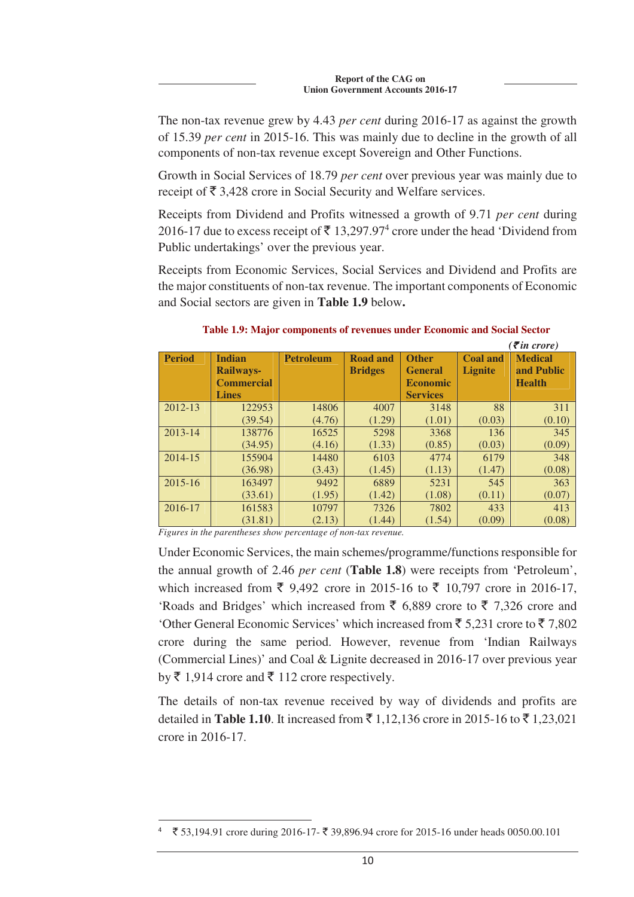The non-tax revenue grew by 4.43 *per cent* during 2016-17 as against the growth of 15.39 *per cent* in 2015-16. This was mainly due to decline in the growth of all components of non-tax revenue except Sovereign and Other Functions.

Growth in Social Services of 18.79 *per cent* over previous year was mainly due to receipt of  $\bar{\tau}$  3,428 crore in Social Security and Welfare services.

Receipts from Dividend and Profits witnessed a growth of 9.71 *per cent* during 2016-17 due to excess receipt of  $\bar{\tau}$  13,297.97<sup>4</sup> crore under the head 'Dividend from Public undertakings' over the previous year.

Receipts from Economic Services, Social Services and Dividend and Profits are the major constituents of non-tax revenue. The important components of Economic and Social sectors are given in **Table 1.9** below**.**

|               |                   |                  |                 |                 |                 | $\left(\bar{\tau}$ in crore) |
|---------------|-------------------|------------------|-----------------|-----------------|-----------------|------------------------------|
| <b>Period</b> | <b>Indian</b>     | <b>Petroleum</b> | <b>Road and</b> | <b>Other</b>    | <b>Coal and</b> | <b>Medical</b>               |
|               | <b>Railways-</b>  |                  | <b>Bridges</b>  | <b>General</b>  | <b>Lignite</b>  | and Public                   |
|               | <b>Commercial</b> |                  |                 | <b>Economic</b> |                 | <b>Health</b>                |
|               | <b>Lines</b>      |                  |                 | <b>Services</b> |                 |                              |
| 2012-13       | 122953            | 14806            | 4007            | 3148            | 88              | 311                          |
|               | (39.54)           | (4.76)           | (1.29)          | (1.01)          | (0.03)          | (0.10)                       |
| 2013-14       | 138776            | 16525            | 5298            | 3368            | 136             | 345                          |
|               | (34.95)           | (4.16)           | (1.33)          | (0.85)          | (0.03)          | (0.09)                       |
| 2014-15       | 155904            | 14480            | 6103            | 4774            | 6179            | 348                          |
|               | (36.98)           | (3.43)           | (1.45)          | (1.13)          | (1.47)          | (0.08)                       |
| 2015-16       | 163497            | 9492             | 6889            | 5231            | 545             | 363                          |
|               | (33.61)           | (1.95)           | (1.42)          | (1.08)          | (0.11)          | (0.07)                       |
| 2016-17       | 161583            | 10797            | 7326            | 7802            | 433             | 413                          |
|               | (31.81)           | (2.13)           | (1.44)          | (1.54)          | (0.09)          | (0.08)                       |

**Table 1.9: Major components of revenues under Economic and Social Sector** 

*Figures in the parentheses show percentage of non-tax revenue.*

 $\overline{a}$ 

Under Economic Services, the main schemes/programme/functions responsible for the annual growth of 2.46 *per cent* (**Table 1.8**) were receipts from 'Petroleum', which increased from  $\bar{\xi}$  9,492 crore in 2015-16 to  $\bar{\xi}$  10,797 crore in 2016-17, 'Roads and Bridges' which increased from  $\bar{\xi}$  6,889 crore to  $\bar{\xi}$  7,326 crore and 'Other General Economic Services' which increased from ₹5.231 crore to ₹7.802 crore during the same period. However, revenue from 'Indian Railways (Commercial Lines)' and Coal & Lignite decreased in 2016-17 over previous year by  $\bar{\tau}$  1,914 crore and  $\bar{\tau}$  112 crore respectively.

The details of non-tax revenue received by way of dividends and profits are detailed in **Table 1.10**. It increased from  $\bar{\tau}$  1,12,136 crore in 2015-16 to  $\bar{\tau}$  1,23,021 crore in 2016-17.

<sup>₹ 53,194.91</sup> crore during 2016-17- ₹ 39,896.94 crore for 2015-16 under heads 0050.00.101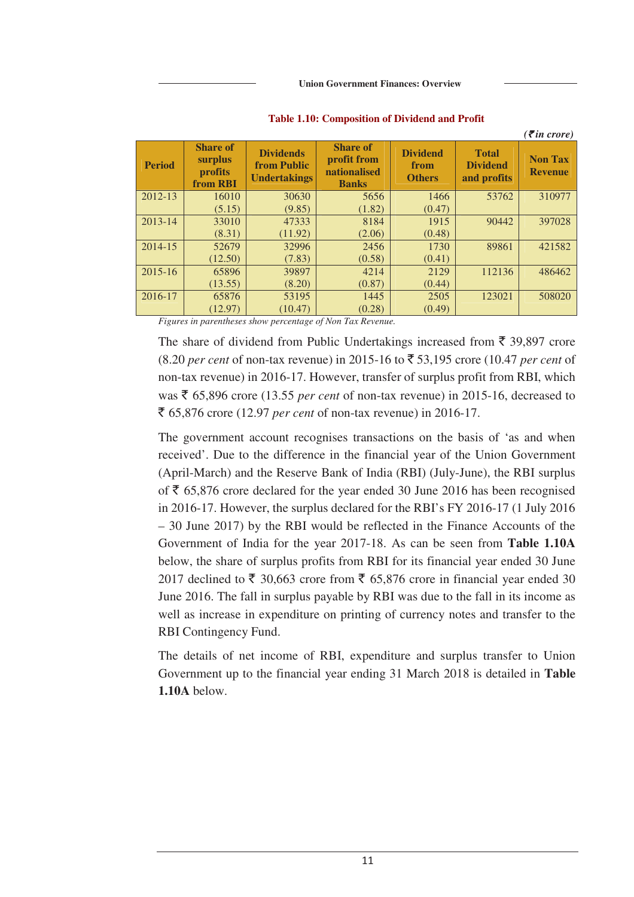|               |                                                          |                                                               |                                                                |                                          |                                                | $( \bar{\mathbf{z}}$ in crore)   |
|---------------|----------------------------------------------------------|---------------------------------------------------------------|----------------------------------------------------------------|------------------------------------------|------------------------------------------------|----------------------------------|
| <b>Period</b> | <b>Share of</b><br>surplus<br><b>profits</b><br>from RBI | <b>Dividends</b><br><b>from Public</b><br><b>Undertakings</b> | <b>Share of</b><br>profit from<br>nationalised<br><b>Banks</b> | <b>Dividend</b><br>from<br><b>Others</b> | <b>Total</b><br><b>Dividend</b><br>and profits | <b>Non Tax</b><br><b>Revenue</b> |
| 2012-13       | 16010                                                    | 30630                                                         | 5656                                                           | 1466                                     | 53762                                          | 310977                           |
|               | (5.15)                                                   | (9.85)                                                        | (1.82)                                                         | (0.47)                                   |                                                |                                  |
| 2013-14       | 33010                                                    | 47333                                                         | 8184                                                           | 1915                                     | 90442                                          | 397028                           |
|               | (8.31)                                                   | (11.92)                                                       | (2.06)                                                         | (0.48)                                   |                                                |                                  |
| 2014-15       | 52679                                                    | 32996                                                         | 2456                                                           | 1730                                     | 89861                                          | 421582                           |
|               | (12.50)                                                  | (7.83)                                                        | (0.58)                                                         | (0.41)                                   |                                                |                                  |
| 2015-16       | 65896                                                    | 39897                                                         | 4214                                                           | 2129                                     | 112136                                         | 486462                           |
|               | (13.55)                                                  | (8.20)                                                        | (0.87)                                                         | (0.44)                                   |                                                |                                  |
| 2016-17       | 65876                                                    | 53195                                                         | 1445                                                           | 2505                                     | 123021                                         | 508020                           |
|               | (12.97)                                                  | (10.47)                                                       | (0.28)                                                         | (0.49)                                   |                                                |                                  |

#### **Table 1.10: Composition of Dividend and Profit**

*Figures in parentheses show percentage of Non Tax Revenue.* 

The share of dividend from Public Undertakings increased from  $\bar{\tau}$  39,897 crore  $(8.20 \text{ per cent of non-tax revenue})$  in 2015-16 to  $\overline{\text{5}}$  53,195 crore (10.47 *per cent* of non-tax revenue) in 2016-17. However, transfer of surplus profit from RBI, which was  $\bar{\tau}$  65,896 crore (13.55 *per cent* of non-tax revenue) in 2015-16, decreased to ` 65,876 crore (12.97 *per cent* of non-tax revenue) in 2016-17.

The government account recognises transactions on the basis of 'as and when received'. Due to the difference in the financial year of the Union Government (April-March) and the Reserve Bank of India (RBI) (July-June), the RBI surplus of  $\bar{\xi}$  65,876 crore declared for the year ended 30 June 2016 has been recognised in 2016-17. However, the surplus declared for the RBI's FY 2016-17 (1 July 2016 – 30 June 2017) by the RBI would be reflected in the Finance Accounts of the Government of India for the year 2017-18. As can be seen from **Table 1.10A**  below, the share of surplus profits from RBI for its financial year ended 30 June 2017 declined to  $\bar{\tau}$  30,663 crore from  $\bar{\tau}$  65,876 crore in financial year ended 30 June 2016. The fall in surplus payable by RBI was due to the fall in its income as well as increase in expenditure on printing of currency notes and transfer to the RBI Contingency Fund.

The details of net income of RBI, expenditure and surplus transfer to Union Government up to the financial year ending 31 March 2018 is detailed in **Table 1.10A** below.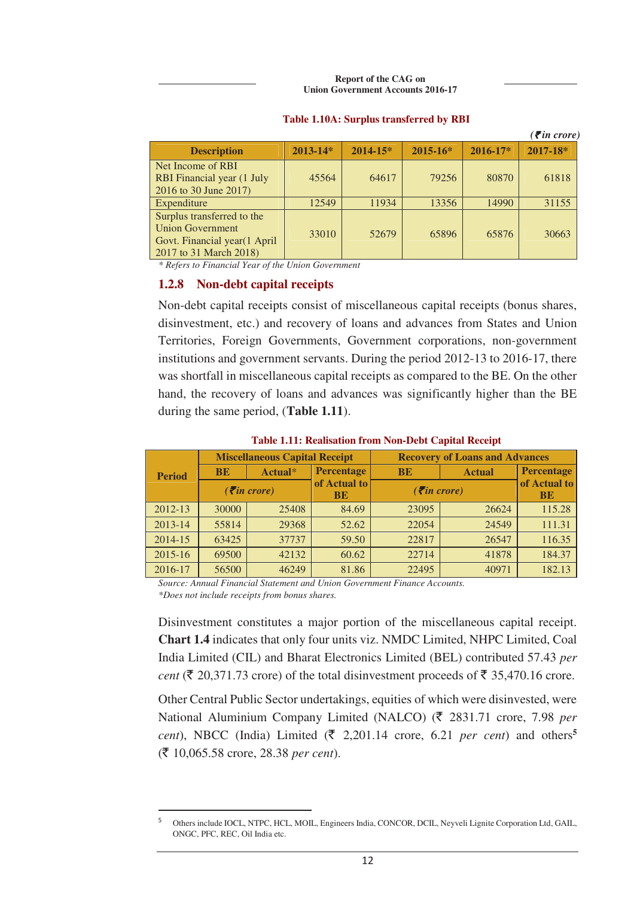**Report of the CAG on Union Government Accounts 2016-17**

|                                                                                                                 |              |              |              |              | $\left(\bar{\boldsymbol{\varepsilon}}\right)$ in crore) |
|-----------------------------------------------------------------------------------------------------------------|--------------|--------------|--------------|--------------|---------------------------------------------------------|
| <b>Description</b>                                                                                              | $2013 - 14*$ | $2014 - 15*$ | $2015 - 16*$ | $2016 - 17*$ | $2017 - 18*$                                            |
| Net Income of RBI<br><b>RBI</b> Financial year (1 July<br>2016 to 30 June 2017)                                 | 45564        | 64617        | 79256        | 80870        | 61818                                                   |
| Expenditure                                                                                                     | 12549        | 11934        | 13356        | 14990        | 31155                                                   |
| Surplus transferred to the<br><b>Union Government</b><br>Govt. Financial year(1 April<br>2017 to 31 March 2018) | 33010        | 52679        | 65896        | 65876        | 30663                                                   |

### **Table 1.10A: Surplus transferred by RBI**

*\* Refers to Financial Year of the Union Government* 

### **1.2.8 Non-debt capital receipts**

 $\overline{a}$ 

Non-debt capital receipts consist of miscellaneous capital receipts (bonus shares, disinvestment, etc.) and recovery of loans and advances from States and Union Territories, Foreign Governments, Government corporations, non-government institutions and government servants. During the period 2012-13 to 2016-17, there was shortfall in miscellaneous capital receipts as compared to the BE. On the other hand, the recovery of loans and advances was significantly higher than the BE during the same period, (**Table 1.11**).

| <b>Period</b> | <b>Miscellaneous Capital Receipt</b>         |         |                           | <b>Recovery of Loans and Advances</b>    |               |                           |  |
|---------------|----------------------------------------------|---------|---------------------------|------------------------------------------|---------------|---------------------------|--|
|               | <b>BE</b>                                    | Actual* | <b>Percentage</b>         | <b>BE</b>                                | <b>Actual</b> | <b>Percentage</b>         |  |
|               | $\left(\bar{\mathbf{\mathcal{F}}}$ in crore) |         | of Actual to<br><b>BE</b> | $( \bar{\mathbf{\mathcal{F}}}$ in crore) |               | of Actual to<br><b>BE</b> |  |
| 2012-13       | 30000                                        | 25408   | 84.69                     | 23095                                    | 26624         | 115.28                    |  |
| 2013-14       | 55814                                        | 29368   | 52.62                     | 22054                                    | 24549         | 111.31                    |  |
| 2014-15       | 63425                                        | 37737   | 59.50                     | 22817                                    | 26547         | 116.35                    |  |
| 2015-16       | 69500                                        | 42132   | 60.62                     | 22714                                    | 41878         | 184.37                    |  |
| 2016-17       | 56500                                        | 46249   | 81.86                     | 22495                                    | 40971         | 182.13                    |  |

#### **Table 1.11: Realisation from Non-Debt Capital Receipt**

*Source: Annual Financial Statement and Union Government Finance Accounts. \*Does not include receipts from bonus shares.*

Disinvestment constitutes a major portion of the miscellaneous capital receipt. **Chart 1.4** indicates that only four units viz. NMDC Limited, NHPC Limited, Coal India Limited (CIL) and Bharat Electronics Limited (BEL) contributed 57.43 *per cent* ( $\overline{\xi}$  20,371.73 crore) of the total disinvestment proceeds of  $\overline{\xi}$  35,470.16 crore.

Other Central Public Sector undertakings, equities of which were disinvested, were National Aluminium Company Limited (NALCO) (₹ 2831.71 crore, 7.98 *per cent*), NBCC (India) Limited ( $\bar{\tau}$  2,201.14 crore, 6.21 *per cent*) and others<sup>5</sup> (` 10,065.58 crore, 28.38 *per cent*).

<sup>5</sup> Others include IOCL, NTPC, HCL, MOIL, Engineers India, CONCOR, DCIL, Neyveli Lignite Corporation Ltd, GAIL, ONGC, PFC, REC, Oil India etc.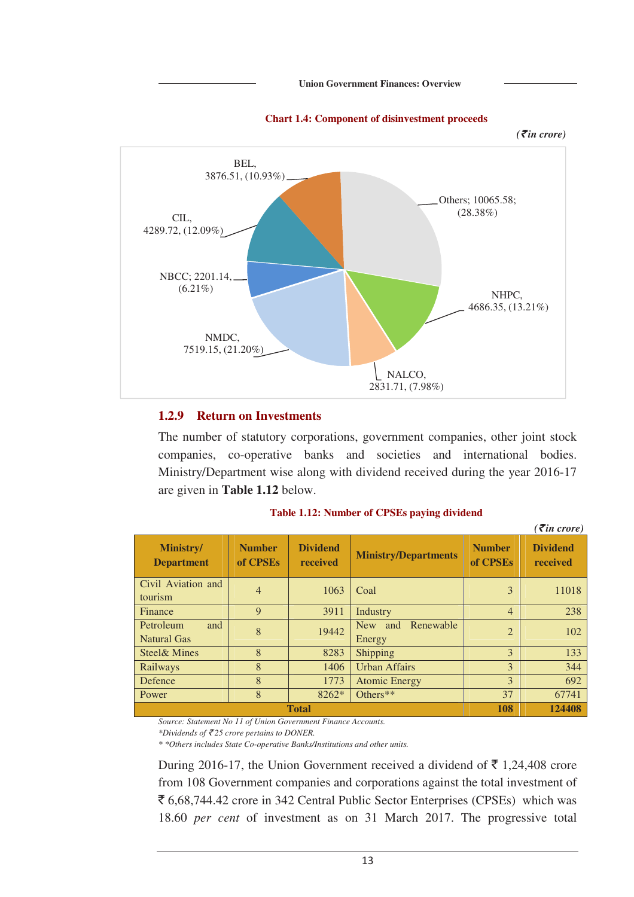

#### **Chart 1.4: Component of disinvestment proceeds**

### **1.2.9 Return on Investments**

The number of statutory corporations, government companies, other joint stock companies, co-operative banks and societies and international bodies. Ministry/Department wise along with dividend received during the year 2016-17 are given in **Table 1.12** below.

|                                 |                           |                             |                                          |                           | $\overline{\mathcal{E}}$ in crore) |
|---------------------------------|---------------------------|-----------------------------|------------------------------------------|---------------------------|------------------------------------|
| Ministry/<br><b>Department</b>  | <b>Number</b><br>of CPSEs | <b>Dividend</b><br>received | <b>Ministry/Departments</b>              | <b>Number</b><br>of CPSEs | <b>Dividend</b><br>received        |
| Civil Aviation and<br>tourism   | $\overline{4}$            | 1063                        | Coal                                     | 3                         | 11018                              |
| Finance                         | 9                         | 3911                        | Industry                                 | $\overline{4}$            | 238                                |
| Petroleum<br>and<br>Natural Gas | 8                         | 19442                       | Renewable<br><b>New</b><br>and<br>Energy | $\overline{2}$            | 102                                |
| Steel & Mines                   | 8                         | 8283                        | Shipping                                 | 3                         | 133                                |
| Railways                        | 8                         | 1406                        | <b>Urban Affairs</b>                     | 3                         | 344                                |
| Defence                         | 8                         | 1773                        | <b>Atomic Energy</b>                     | 3                         | 692                                |
| Power                           | 8                         | 8262*                       | Others**                                 | 37                        | 67741                              |
| <b>Total</b>                    |                           |                             |                                          |                           | 124408                             |

#### **Table 1.12: Number of CPSEs paying dividend**

*Source: Statement No 11 of Union Government Finance Accounts.* 

*\*Dividends of* ` *25 crore pertains to DONER.* 

*\* \*Others includes State Co-operative Banks/Institutions and other units.* 

During 2016-17, the Union Government received a dividend of  $\bar{\tau}$  1,24,408 crore from 108 Government companies and corporations against the total investment of  $\bar{\epsilon}$  6,68,744.42 crore in 342 Central Public Sector Enterprises (CPSEs) which was 18.60 *per cent* of investment as on 31 March 2017. The progressive total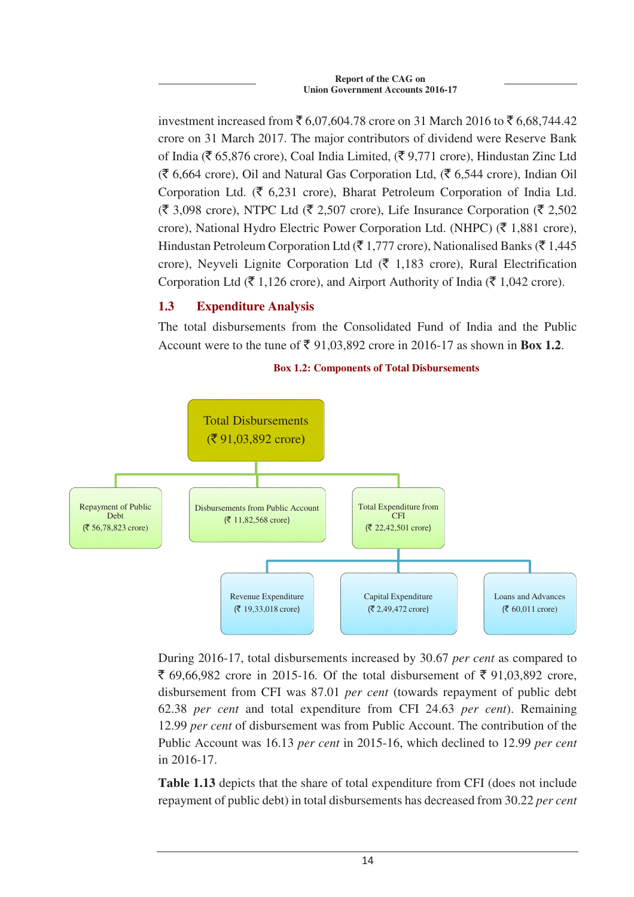investment increased from  $\bar{\xi}$  6,07,604.78 crore on 31 March 2016 to  $\bar{\xi}$  6,68,744.42 crore on 31 March 2017. The major contributors of dividend were Reserve Bank of India ( $\bar{\mathfrak{c}}$  65,876 crore), Coal India Limited, ( $\bar{\mathfrak{c}}$  9,771 crore), Hindustan Zinc Ltd  $(\bar{\mathfrak{F}} 6,664$  crore), Oil and Natural Gas Corporation Ltd,  $(\bar{\mathfrak{F}} 6,544$  crore), Indian Oil Corporation Ltd. ( $\bar{\xi}$  6,231 crore), Bharat Petroleum Corporation of India Ltd.  $(\bar{\mathfrak{F}} 3,098$  crore), NTPC Ltd ( $\bar{\mathfrak{F}} 2,507$  crore), Life Insurance Corporation ( $\bar{\mathfrak{F}} 2,502$ crore), National Hydro Electric Power Corporation Ltd. (NHPC) ( $\bar{\tau}$  1,881 crore), Hindustan Petroleum Corporation Ltd ( $\bar{\tau}$  1,777 crore), Nationalised Banks ( $\bar{\tau}$  1,445 crore), Neyveli Lignite Corporation Ltd ( $\bar{\tau}$  1,183 crore), Rural Electrification Corporation Ltd ( $\bar{\tau}$  1,126 crore), and Airport Authority of India ( $\bar{\tau}$  1,042 crore).

# **1.3 Expenditure Analysis**

The total disbursements from the Consolidated Fund of India and the Public Account were to the tune of  $\bar{\xi}$  91.03.892 crore in 2016-17 as shown in **Box 1.2**.



**Box 1.2: Components of Total Disbursements** 

During 2016-17, total disbursements increased by 30.67 *per cent* as compared to  $\bar{\xi}$  69,66,982 crore in 2015-16. Of the total disbursement of  $\bar{\xi}$  91,03,892 crore, disbursement from CFI was 87.01 *per cent* (towards repayment of public debt 62.38 *per cent* and total expenditure from CFI 24.63 *per cent*). Remaining 12.99 *per cent* of disbursement was from Public Account. The contribution of the Public Account was 16.13 *per cent* in 2015-16, which declined to 12.99 *per cent* in 2016-17.

**Table 1.13** depicts that the share of total expenditure from CFI (does not include repayment of public debt) in total disbursements has decreased from 30.22 *per cent*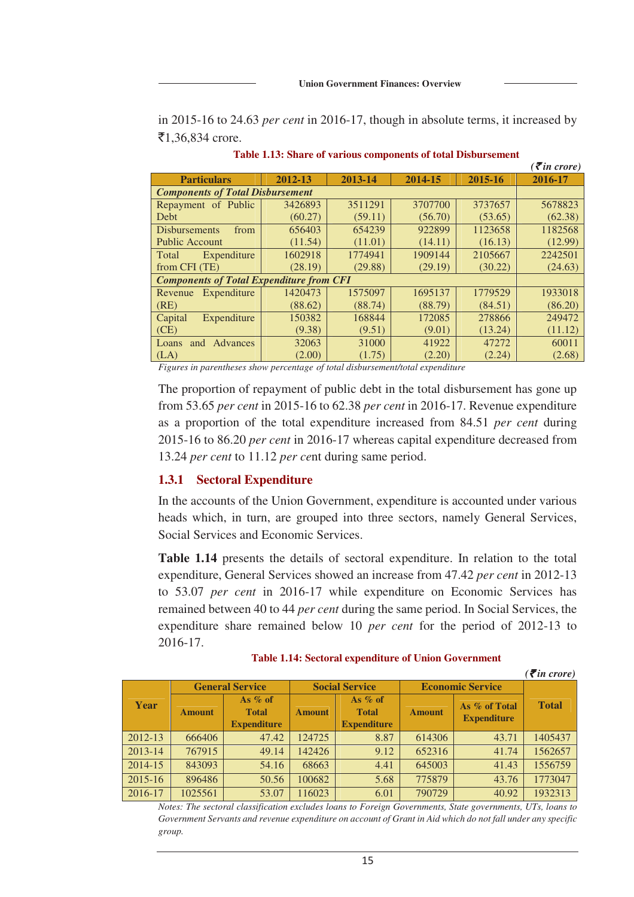in 2015-16 to 24.63 *per cent* in 2016-17, though in absolute terms, it increased by  $\bar{5}1,36,834$  crore.

|                                         |                                                 |         |         |         | $\overline{\mathcal{F}}$ in crore) |  |  |  |
|-----------------------------------------|-------------------------------------------------|---------|---------|---------|------------------------------------|--|--|--|
| <b>Particulars</b>                      | 2013-14                                         | 2014-15 | 2015-16 | 2016-17 |                                    |  |  |  |
| <b>Components of Total Disbursement</b> |                                                 |         |         |         |                                    |  |  |  |
| Repayment of Public                     | 3426893                                         | 3511291 | 3707700 | 3737657 | 5678823                            |  |  |  |
| Debt                                    | (60.27)                                         | (59.11) | (56.70) | (53.65) | (62.38)                            |  |  |  |
| from<br><b>Disbursements</b>            | 656403                                          | 654239  | 922899  | 1123658 | 1182568                            |  |  |  |
| <b>Public Account</b>                   | (11.54)                                         | (11.01) | (14.11) | (16.13) | (12.99)                            |  |  |  |
| Total<br>Expenditure                    | 1602918                                         | 1774941 | 1909144 | 2105667 | 2242501                            |  |  |  |
| from CFI (TE)                           | (28.19)                                         | (29.88) | (29.19) | (30.22) | (24.63)                            |  |  |  |
|                                         | <b>Components of Total Expenditure from CFI</b> |         |         |         |                                    |  |  |  |
| Expenditure<br>Revenue                  | 1420473                                         | 1575097 | 1695137 | 1779529 | 1933018                            |  |  |  |
| (RE)                                    | (88.62)                                         | (88.74) | (88.79) | (84.51) | (86.20)                            |  |  |  |
| Capital<br>Expenditure                  | 150382                                          | 168844  | 172085  | 278866  | 249472                             |  |  |  |
| (CE)                                    | (9.38)                                          | (9.51)  | (9.01)  | (13.24) | (11.12)                            |  |  |  |
| and Advances<br>Loans                   | 32063                                           | 31000   | 41922   | 47272   | 60011                              |  |  |  |
| (LA)                                    | (2.00)                                          | (1.75)  | (2.20)  | (2.24)  | (2.68)                             |  |  |  |

**Table 1.13: Share of various components of total Disbursement** 

*Figures in parentheses show percentage of total disbursement/total expenditure*

The proportion of repayment of public debt in the total disbursement has gone up from 53.65 *per cent* in 2015-16 to 62.38 *per cent* in 2016-17. Revenue expenditure as a proportion of the total expenditure increased from 84.51 *per cent* during 2015-16 to 86.20 *per cent* in 2016-17 whereas capital expenditure decreased from 13.24 *per cent* to 11.12 *per ce*nt during same period.

### **1.3.1 Sectoral Expenditure**

In the accounts of the Union Government, expenditure is accounted under various heads which, in turn, are grouped into three sectors, namely General Services, Social Services and Economic Services.

**Table 1.14** presents the details of sectoral expenditure. In relation to the total expenditure, General Services showed an increase from 47.42 *per cent* in 2012-13 to 53.07 *per cent* in 2016-17 while expenditure on Economic Services has remained between 40 to 44 *per cent* during the same period. In Social Services, the expenditure share remained below 10 *per cent* for the period of 2012-13 to 2016-17.

| <b>Table 1.14: Sectoral expenditure of Union Government</b> |  |
|-------------------------------------------------------------|--|
|-------------------------------------------------------------|--|

|             |                        |                                                 |                       |                                                 |                         |                                     | $( \bar{\mathbf{\xi}}$ in crore) |
|-------------|------------------------|-------------------------------------------------|-----------------------|-------------------------------------------------|-------------------------|-------------------------------------|----------------------------------|
|             | <b>General Service</b> |                                                 | <b>Social Service</b> |                                                 | <b>Economic Service</b> |                                     |                                  |
| Year        | <b>Amount</b>          | As $%$ of<br><b>Total</b><br><b>Expenditure</b> | <b>Amount</b>         | As $%$ of<br><b>Total</b><br><b>Expenditure</b> | <b>Amount</b>           | As % of Total<br><b>Expenditure</b> | <b>Total</b>                     |
| $2012 - 13$ | 666406                 | 47.42                                           | 124725                | 8.87                                            | 614306                  | 43.71                               | 1405437                          |
| $2013 - 14$ | 767915                 | 49.14                                           | 142426                | 9.12                                            | 652316                  | 41.74                               | 1562657                          |
| $2014 - 15$ | 843093                 | 54.16                                           | 68663                 | 4.41                                            | 645003                  | 41.43                               | 1556759                          |
| $2015 - 16$ | 896486                 | 50.56                                           | 100682                | 5.68                                            | 775879                  | 43.76                               | 1773047                          |
| $2016 - 17$ | 1025561                | 53.07                                           | 116023                | 6.01                                            | 790729                  | 40.92                               | 1932313                          |

*Notes: The sectoral classification excludes loans to Foreign Governments, State governments, UTs, loans to Government Servants and revenue expenditure on account of Grant in Aid which do not fall under any specific group.*